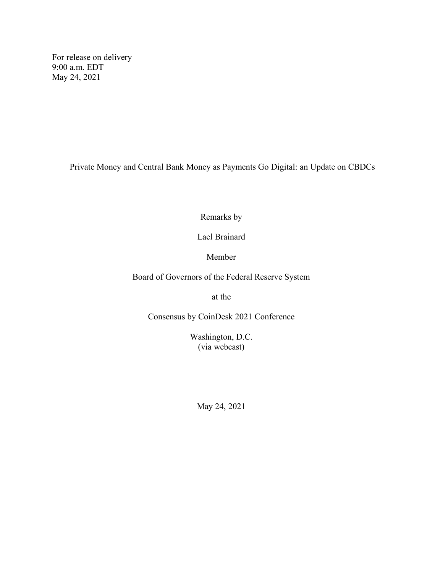For release on delivery 9:00 a.m. EDT May 24, 2021

Private Money and Central Bank Money as Payments Go Digital: an Update on CBDCs

Remarks by

Lael Brainard

Member

Board of Governors of the Federal Reserve System

at the

Consensus by CoinDesk 2021 Conference

Washington, D.C. (via webcast)

May 24, 2021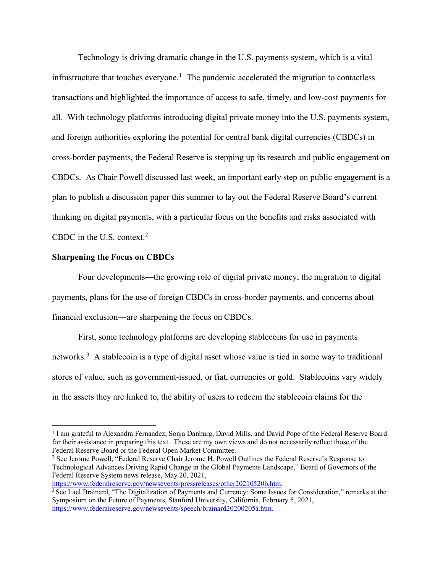Technology is driving dramatic change in the U.S. payments system, which is a vital infrastructure that touches everyone.<sup>[1](#page-1-0)</sup> The pandemic accelerated the migration to contactless transactions and highlighted the importance of access to safe, timely, and low-cost payments for all. With technology platforms introducing digital private money into the U.S. payments system, and foreign authorities exploring the potential for central bank digital currencies (CBDCs) in cross-border payments, the Federal Reserve is stepping up its research and public engagement on CBDCs. As Chair Powell discussed last week, an important early step on public engagement is a plan to publish a discussion paper this summer to lay out the Federal Reserve Board's current thinking on digital payments, with a particular focus on the benefits and risks associated with CBDC in the U.S. context.<sup>[2](#page-1-1)</sup>

### **Sharpening the Focus on CBDCs**

Four developments—the growing role of digital private money, the migration to digital payments, plans for the use of foreign CBDCs in cross-border payments, and concerns about financial exclusion—are sharpening the focus on CBDCs.

First, some technology platforms are developing stablecoins for use in payments networks. [3](#page-1-2) A stablecoin is a type of digital asset whose value is tied in some way to traditional stores of value, such as government-issued, or fiat, currencies or gold. Stablecoins vary widely in the assets they are linked to, the ability of users to redeem the stablecoin claims for the

https://www.federalreserve.gov/newsevents/pressreleases/other20210520b.htm.

<span id="page-1-0"></span><sup>&</sup>lt;sup>1</sup> I am grateful to Alexandra Fernandez, Sonja Danburg, David Mills, and David Pope of the Federal Reserve Board for their assistance in preparing this text. These are my own views and do not necessarily reflect those of the Federal Reserve Board or the Federal Open Market Committee.

<span id="page-1-1"></span><sup>&</sup>lt;sup>2</sup> See Jerome Powell, "Federal Reserve Chair Jerome H. Powell Outlines the Federal Reserve's Response to Technological Advances Driving Rapid Change in the Global Payments Landscape," Board of Governors of the Federal Reserve System news release, May 20, 2021,

<span id="page-1-2"></span><sup>&</sup>lt;sup>3</sup> See Lael Brainard, "The Digitalization of Payments and Currency: Some Issues for Consideration," remarks at the Symposium on the Future of Payments, Stanford University, California, February 5, 2021, https://www.federalreserve.gov/newsevents/speech/brainard20200205a.htm.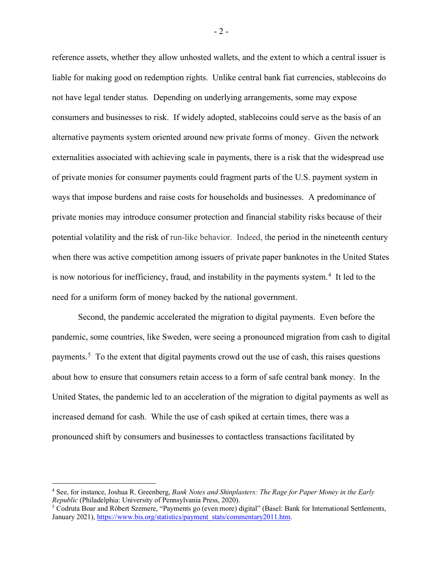reference assets, whether they allow unhosted wallets, and the extent to which a central issuer is liable for making good on redemption rights. Unlike central bank fiat currencies, stablecoins do not have legal tender status. Depending on underlying arrangements, some may expose consumers and businesses to risk. If widely adopted, stablecoins could serve as the basis of an alternative payments system oriented around new private forms of money. Given the network externalities associated with achieving scale in payments, there is a risk that the widespread use of private monies for consumer payments could fragment parts of the U.S. payment system in ways that impose burdens and raise costs for households and businesses. A predominance of private monies may introduce consumer protection and financial stability risks because of their potential volatility and the risk of run-like behavior. Indeed, the period in the nineteenth century when there was active competition among issuers of private paper banknotes in the United States is now notorious for inefficiency, fraud, and instability in the payments system. [4](#page-2-0) It led to the need for a uniform form of money backed by the national government.

Second, the pandemic accelerated the migration to digital payments. Even before the pandemic, some countries, like Sweden, were seeing a pronounced migration from cash to digital payments.<sup>[5](#page-2-1)</sup> To the extent that digital payments crowd out the use of cash, this raises questions about how to ensure that consumers retain access to a form of safe central bank money. In the United States, the pandemic led to an acceleration of the migration to digital payments as well as increased demand for cash. While the use of cash spiked at certain times, there was a pronounced shift by consumers and businesses to contactless transactions facilitated by

- 2 -

<span id="page-2-0"></span><sup>&</sup>lt;sup>4</sup> See, for instance, Joshua R. Greenberg, *Bank Notes and Shinplasters: The Rage for Paper Money in the Early Republic (Philadelphia: University of Pennsylvania Press, 2020).* 

<span id="page-2-1"></span><sup>&</sup>lt;sup>5</sup> Codruta Boar and Róbert Szemere, "Payments go (even more) digital" (Basel: Bank for International Settlements, January 2021), https://www.bis.org/statistics/payment\_stats/commentary2011.htm.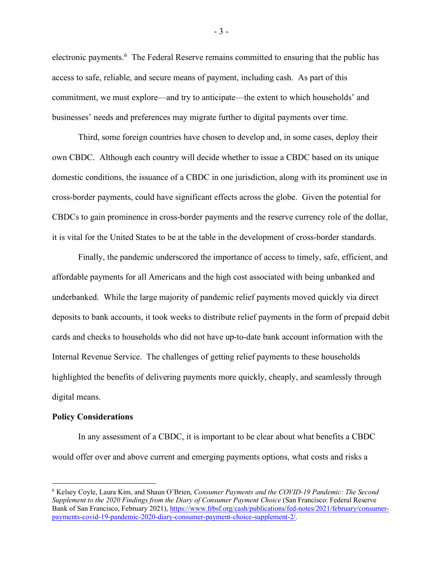electronic payments.<sup>[6](#page-3-0)</sup> The Federal Reserve remains committed to ensuring that the public has access to safe, reliable, and secure means of payment, including cash. As part of this commitment, we must explore—and try to anticipate—the extent to which households' and businesses' needs and preferences may migrate further to digital payments over time.

Third, some foreign countries have chosen to develop and, in some cases, deploy their own CBDC. Although each country will decide whether to issue a CBDC based on its unique domestic conditions, the issuance of a CBDC in one jurisdiction, along with its prominent use in cross-border payments, could have significant effects across the globe. Given the potential for CBDCs to gain prominence in cross-border payments and the reserve currency role of the dollar, it is vital for the United States to be at the table in the development of cross-border standards.

Finally, the pandemic underscored the importance of access to timely, safe, efficient, and affordable payments for all Americans and the high cost associated with being unbanked and underbanked. While the large majority of pandemic relief payments moved quickly via direct deposits to bank accounts, it took weeks to distribute relief payments in the form of prepaid debit cards and checks to households who did not have up-to-date bank account information with the Internal Revenue Service. The challenges of getting relief payments to these households highlighted the benefits of delivering payments more quickly, cheaply, and seamlessly through digital means.

#### **Policy Considerations**

In any assessment of a CBDC, it is important to be clear about what benefits a CBDC would offer over and above current and emerging payments options, what costs and risks a

<span id="page-3-0"></span><sup>6</sup> Kelsey Coyle, Laura Kim, and Shaun O'Brien, *Consumer Payments and the COVID-19 Pandemic: The Second Supplement to the 2020 Findings from the Diary of Consumer Payment Choice* (San Francisco: Federal Reserve Bank of San Francisco, February 2021), https://www.frbsf.org/cash/publications/fed-notes/2021/february/consumerpayments-covid-19-pandemic-2020-diary-consumer-payment-choice-supplement-2/.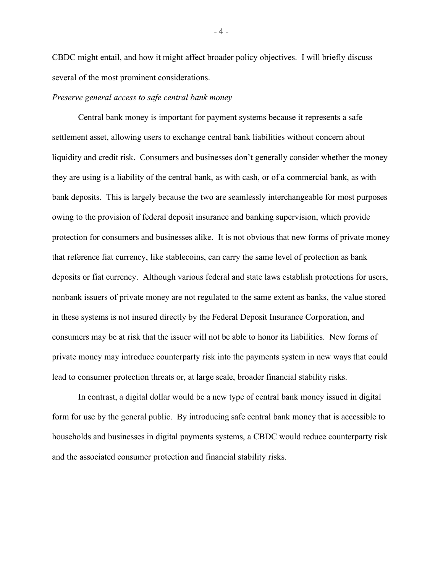CBDC might entail, and how it might affect broader policy objectives. I will briefly discuss several of the most prominent considerations.

### *Preserve general access to safe central bank money*

Central bank money is important for payment systems because it represents a safe settlement asset, allowing users to exchange central bank liabilities without concern about liquidity and credit risk. Consumers and businesses don't generally consider whether the money they are using is a liability of the central bank, as with cash, or of a commercial bank, as with bank deposits. This is largely because the two are seamlessly interchangeable for most purposes owing to the provision of federal deposit insurance and banking supervision, which provide protection for consumers and businesses alike. It is not obvious that new forms of private money that reference fiat currency, like stablecoins, can carry the same level of protection as bank deposits or fiat currency. Although various federal and state laws establish protections for users, nonbank issuers of private money are not regulated to the same extent as banks, the value stored in these systems is not insured directly by the Federal Deposit Insurance Corporation, and consumers may be at risk that the issuer will not be able to honor its liabilities. New forms of private money may introduce counterparty risk into the payments system in new ways that could lead to consumer protection threats or, at large scale, broader financial stability risks.

In contrast, a digital dollar would be a new type of central bank money issued in digital form for use by the general public. By introducing safe central bank money that is accessible to households and businesses in digital payments systems, a CBDC would reduce counterparty risk and the associated consumer protection and financial stability risks.

- 4 -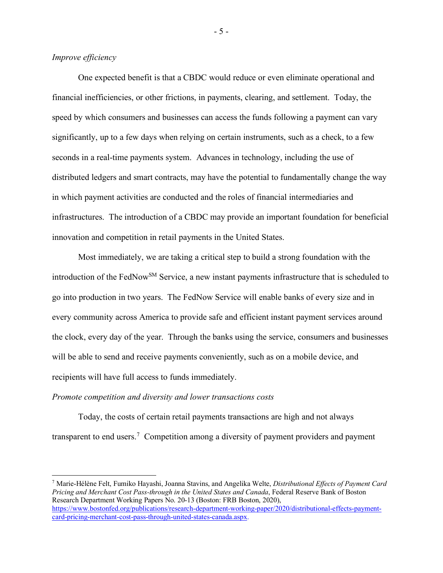# *Improve efficiency*

One expected benefit is that a CBDC would reduce or even eliminate operational and financial inefficiencies, or other frictions, in payments, clearing, and settlement. Today, the speed by which consumers and businesses can access the funds following a payment can vary significantly, up to a few days when relying on certain instruments, such as a check, to a few seconds in a real-time payments system. Advances in technology, including the use of distributed ledgers and smart contracts, may have the potential to fundamentally change the way in which payment activities are conducted and the roles of financial intermediaries and infrastructures. The introduction of a CBDC may provide an important foundation for beneficial innovation and competition in retail payments in the United States.

Most immediately, we are taking a critical step to build a strong foundation with the introduction of the FedNow<sup>SM</sup> Service, a new instant payments infrastructure that is scheduled to go into production in two years. The FedNow Service will enable banks of every size and in every community across America to provide safe and efficient instant payment services around the clock, every day of the year. Through the banks using the service, consumers and businesses will be able to send and receive payments conveniently, such as on a mobile device, and recipients will have full access to funds immediately.

### *Promote competition and diversity and lower transactions costs*

Today, the costs of certain retail payments transactions are high and not always transparent to end users.<sup>[7](#page-5-0)</sup> Competition among a diversity of payment providers and payment

<span id="page-5-0"></span><sup>7</sup> Marie-Hélène Felt, Fumiko Hayashi, Joanna Stavins, and Angelika Welte, *Distributional Effects of Payment Card Pricing and Merchant Cost Pass-through in the United States and Canada*, Federal Reserve Bank of Boston Research Department Working Papers No. 20-13 (Boston: FRB Boston, 2020), https://www.bostonfed.org/publications/research-department-working-paper/2020/distributional-effects-paymentcard-pricing-merchant-cost-pass-through-united-states-canada.aspx.

- 5 -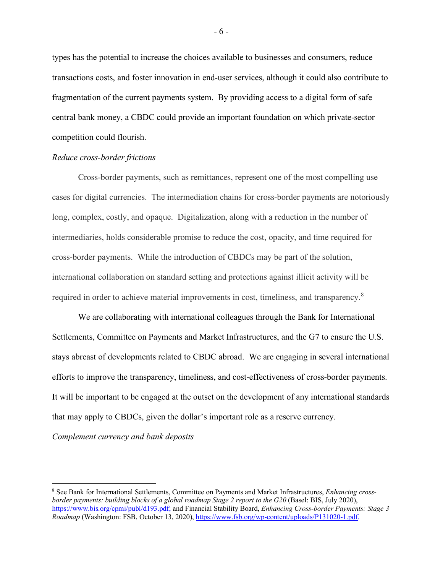types has the potential to increase the choices available to businesses and consumers, reduce transactions costs, and foster innovation in end-user services, although it could also contribute to fragmentation of the current payments system. By providing access to a digital form of safe central bank money, a CBDC could provide an important foundation on which private-sector competition could flourish.

### *Reduce cross-border frictions*

Cross-border payments, such as remittances, represent one of the most compelling use cases for digital currencies. The intermediation chains for cross-border payments are notoriously long, complex, costly, and opaque. Digitalization, along with a reduction in the number of intermediaries, holds considerable promise to reduce the cost, opacity, and time required for cross-border payments. While the introduction of CBDCs may be part of the solution, international collaboration on standard setting and protections against illicit activity will be required in order to achieve material improvements in cost, timeliness, and transparency.<sup>[8](#page-6-0)</sup>

We are collaborating with international colleagues through the Bank for International Settlements, Committee on Payments and Market Infrastructures, and the G7 to ensure the U.S. stays abreast of developments related to CBDC abroad. We are engaging in several international efforts to improve the transparency, timeliness, and cost-effectiveness of cross-border payments. It will be important to be engaged at the outset on the development of any international standards that may apply to CBDCs, given the dollar's important role as a reserve currency.

*Complement currency and bank deposits*

- 6 -

<span id="page-6-0"></span><sup>8</sup> See Bank for International Settlements, Committee on Payments and Market Infrastructures, *Enhancing crossborder payments: building blocks of a global roadmap Stage 2 report to the G20* (Basel: BIS, July 2020), https://www.bis.org/cpmi/publ/d193.pdf; and Financial Stability Board, *Enhancing Cross-border Payments: Stage 3 Roadmap* (Washington: FSB, October 13, 2020), https://www.fsb.org/wp-content/uploads/P131020-1.pdf.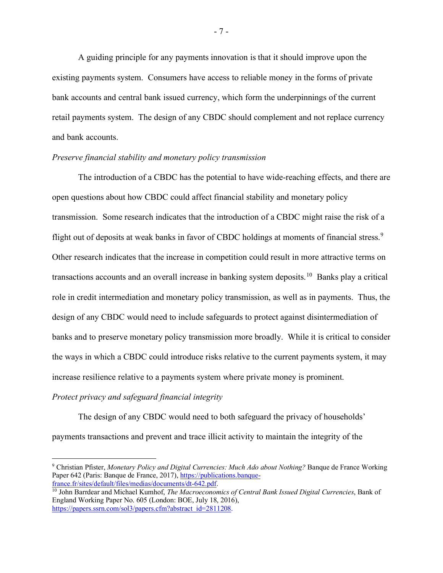A guiding principle for any payments innovation is that it should improve upon the existing payments system. Consumers have access to reliable money in the forms of private bank accounts and central bank issued currency, which form the underpinnings of the current retail payments system. The design of any CBDC should complement and not replace currency and bank accounts.

## *Preserve financial stability and monetary policy transmission*

The introduction of a CBDC has the potential to have wide-reaching effects, and there are open questions about how CBDC could affect financial stability and monetary policy transmission. Some research indicates that the introduction of a CBDC might raise the risk of a flight out of deposits at weak banks in favor of CBDC holdings at moments of financial stress.<sup>[9](#page-7-0)</sup> Other research indicates that the increase in competition could result in more attractive terms on transactions accounts and an overall increase in banking system deposits.[10](#page-7-1) Banks play a critical role in credit intermediation and monetary policy transmission, as well as in payments. Thus, the design of any CBDC would need to include safeguards to protect against disintermediation of banks and to preserve monetary policy transmission more broadly. While it is critical to consider the ways in which a CBDC could introduce risks relative to the current payments system, it may increase resilience relative to a payments system where private money is prominent.

# *Protect privacy and safeguard financial integrity*

The design of any CBDC would need to both safeguard the privacy of households' payments transactions and prevent and trace illicit activity to maintain the integrity of the

- 7 -

<span id="page-7-0"></span><sup>9</sup> Christian Pfister, *Monetary Policy and Digital Currencies: Much Ado about Nothing?* Banque de France Working Paper 642 (Paris: Banque de France, 2017), https://publications.banquefrance.fr/sites/default/files/medias/documents/dt-642.pdf.

<span id="page-7-1"></span><sup>10</sup> John Barrdear and Michael Kumhof, *The Macroeconomics of Central Bank Issued Digital Currencies*, Bank of England Working Paper No. 605 (London: BOE, July 18, 2016), https://papers.ssrn.com/sol3/papers.cfm?abstract\_id=2811208.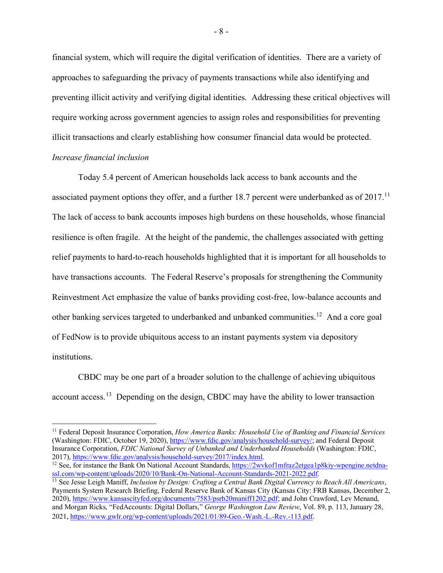financial system, which will require the digital verification of identities. There are a variety of approaches to safeguarding the privacy of payments transactions while also identifying and preventing illicit activity and verifying digital identities. Addressing these critical objectives will require working across government agencies to assign roles and responsibilities for preventing illicit transactions and clearly establishing how consumer financial data would be protected. *Increase financial inclusion*

Today 5.4 percent of American households lack access to bank accounts and the associated payment options they offer, and a further 18.7 percent were underbanked as of 2017.<sup>11</sup> The lack of access to bank accounts imposes high burdens on these households, whose financial resilience is often fragile. At the height of the pandemic, the challenges associated with getting relief payments to hard-to-reach households highlighted that it is important for all households to have transactions accounts. The Federal Reserve's proposals for strengthening the Community Reinvestment Act emphasize the value of banks providing cost-free, low-balance accounts and other banking services targeted to underbanked and unbanked communities.<sup>[12](#page-8-1)</sup> And a core goal of FedNow is to provide ubiquitous access to an instant payments system via depository institutions.

CBDC may be one part of a broader solution to the challenge of achieving ubiquitous account access.<sup>[13](#page-8-2)</sup> Depending on the design, CBDC may have the ability to lower transaction

<span id="page-8-0"></span><sup>11</sup> Federal Deposit Insurance Corporation, *How America Banks: Household Use of Banking and Financial Services* (Washington: FDIC, October 19, 2020), https://www.fdic.gov/analysis/household-survey/; and Federal Deposit Insurance Corporation, *FDIC National Survey of Unbanked and Underbanked Households* (Washington: FDIC, 2017), https://www.fdic.gov/analysis/household-survey/2017/index.html.

<span id="page-8-1"></span><sup>&</sup>lt;sup>12</sup> See, for instance the Bank On National Account Standards, https://2wvkof1mfraz2etgea1p8kiy-wpengine.netdnassl.com/wp-content/uploads/2020/10/Bank-On-National-Account-Standards-2021-2022.pdf.

<span id="page-8-2"></span><sup>&</sup>lt;sup>13</sup> See Jesse Leigh Maniff, *Inclusion by Design: Crafting a Central Bank Digital Currency to Reach All Americans*, Payments System Research Briefing, Federal Reserve Bank of Kansas City (Kansas City: FRB Kansas, December 2, 2020), https://www.kansascityfed.org/documents/7583/psrb20maniff1202.pdf; and John Crawford, Lev Menand, and Morgan Ricks, "FedAccounts: Digital Dollars," *George Washington Law Review*, Vol. 89, p. 113, January 28, 2021, https://www.gwlr.org/wp-content/uploads/2021/01/89-Geo.-Wash.-L.-Rev.-113.pdf.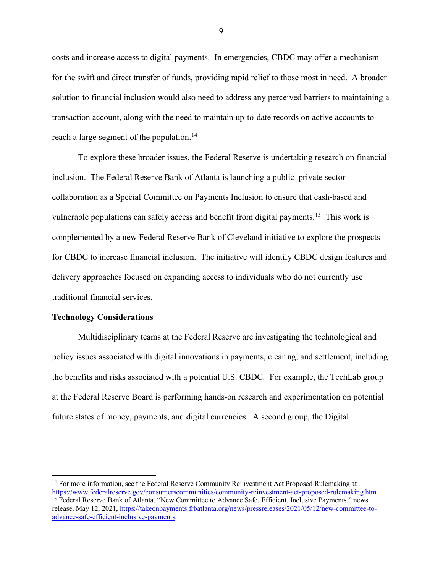costs and increase access to digital payments. In emergencies, CBDC may offer a mechanism for the swift and direct transfer of funds, providing rapid relief to those most in need. A broader solution to financial inclusion would also need to address any perceived barriers to maintaining a transaction account, along with the need to maintain up-to-date records on active accounts to reach a large segment of the population.<sup>[14](#page-9-0)</sup>

To explore these broader issues, the Federal Reserve is undertaking research on financial inclusion. The Federal Reserve Bank of Atlanta is launching a public–private sector collaboration as a Special Committee on Payments Inclusion to ensure that cash-based and vulnerable populations can safely access and benefit from digital payments.<sup>15</sup> This work is complemented by a new Federal Reserve Bank of Cleveland initiative to explore the prospects for CBDC to increase financial inclusion. The initiative will identify CBDC design features and delivery approaches focused on expanding access to individuals who do not currently use traditional financial services.

### **Technology Considerations**

Multidisciplinary teams at the Federal Reserve are investigating the technological and policy issues associated with digital innovations in payments, clearing, and settlement, including the benefits and risks associated with a potential U.S. CBDC. For example, the TechLab group at the Federal Reserve Board is performing hands-on research and experimentation on potential future states of money, payments, and digital currencies. A second group, the Digital

<span id="page-9-1"></span><span id="page-9-0"></span><sup>&</sup>lt;sup>14</sup> For more information, see the Federal Reserve Community Reinvestment Act Proposed Rulemaking at https://www.federalreserve.gov/consumerscommunities/community-reinvestment-act-proposed-rulemaking.htm. <sup>15</sup> Federal Reserve Bank of Atlanta, "New Committee to Advance Safe, Efficient, Inclusive Payments," news release, May 12, 2021, https://takeonpayments.frbatlanta.org/news/pressreleases/2021/05/12/new-committee-toadvance-safe-efficient-inclusive-payments.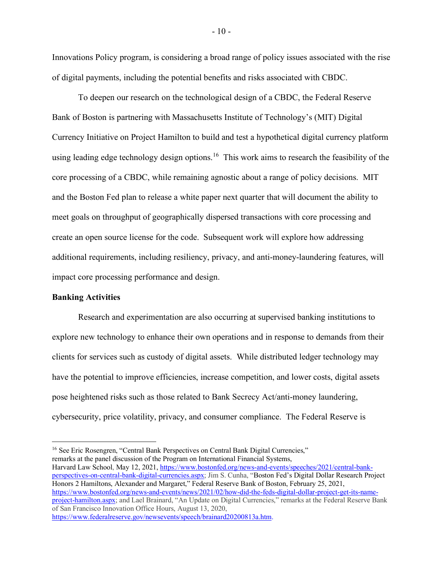Innovations Policy program, is considering a broad range of policy issues associated with the rise of digital payments, including the potential benefits and risks associated with CBDC.

To deepen our research on the technological design of a CBDC, the Federal Reserve Bank of Boston is partnering with Massachusetts Institute of Technology's (MIT) Digital Currency Initiative on Project Hamilton to build and test a hypothetical digital currency platform using leading edge technology design options.<sup>[16](#page-10-0)</sup> This work aims to research the feasibility of the core processing of a CBDC, while remaining agnostic about a range of policy decisions. MIT and the Boston Fed plan to release a white paper next quarter that will document the ability to meet goals on throughput of geographically dispersed transactions with core processing and create an open source license for the code. Subsequent work will explore how addressing additional requirements, including resiliency, privacy, and anti-money-laundering features, will impact core processing performance and design.

### **Banking Activities**

Research and experimentation are also occurring at supervised banking institutions to explore new technology to enhance their own operations and in response to demands from their clients for services such as custody of digital assets. While distributed ledger technology may have the potential to improve efficiencies, increase competition, and lower costs, digital assets pose heightened risks such as those related to Bank Secrecy Act/anti-money laundering, cybersecurity, price volatility, privacy, and consumer compliance. The Federal Reserve is

<span id="page-10-0"></span><sup>16</sup> See Eric Rosengren, "Central Bank Perspectives on Central Bank Digital Currencies," remarks at the panel discussion of the Program on International Financial Systems, Harvard Law School, May 12, 2021, https://www.bostonfed.org/news-and-events/speeches/2021/central-bankperspectives-on-central-bank-digital-currencies.aspx; Jim S. Cunha, "Boston Fed's Digital Dollar Research Project Honors 2 Hamiltons, Alexander and Margaret," Federal Reserve Bank of Boston, February 25, 2021, https://www.bostonfed.org/news-and-events/news/2021/02/how-did-the-feds-digital-dollar-project-get-its-nameproject-hamilton.aspx; and Lael Brainard, "An Update on Digital Currencies," remarks at the Federal Reserve Bank of San Francisco Innovation Office Hours, August 13, 2020, https://www.federalreserve.gov/newsevents/speech/brainard20200813a.htm.

- 10 -